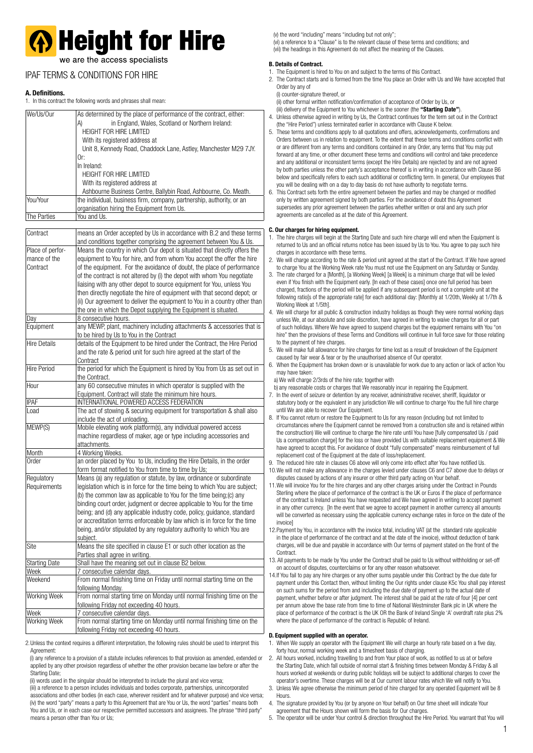# **A** Height for Hire

we are the access specialists

## IPAF TERMS & CONDITIONS FOR HIRE

## **A. Definitions.**

In this contract the following words and phrases shall mean

| We/Us/Our                  | As determined by the place of performance of the contract, either:<br>in England, Wales, Scotland or Northern Ireland:<br>A)<br><b>HEIGHT FOR HIRE LIMITED</b> |
|----------------------------|----------------------------------------------------------------------------------------------------------------------------------------------------------------|
|                            | With its registered address at<br>Unit 8, Kennedy Road, Chaddock Lane, Astley, Manchester M29 7JY.                                                             |
|                            | Or:<br>In Ireland:                                                                                                                                             |
|                            | HEIGHT FOR HIRE LIMITED                                                                                                                                        |
|                            | With its registered address at                                                                                                                                 |
|                            | Ashbourne Business Centre, Ballybin Road, Ashbourne, Co. Meath.                                                                                                |
| You/Your                   | the individual, business firm, company, partnership, authority, or an<br>organisation hiring the Equipment from Us.                                            |
| The Parties                | You and Us.                                                                                                                                                    |
| Contract                   | means an Order accepted by Us in accordance with B.2 and these terms                                                                                           |
|                            | and conditions together comprising the agreement between You & Us.                                                                                             |
| Place of perfor-           | Means the country in which Our depot is situated that directly offers the                                                                                      |
| mance of the               | equipment to You for hire, and from whom You accept the offer the hire                                                                                         |
| Contract                   | of the equipment. For the avoidance of doubt, the place of performance                                                                                         |
|                            | of the contract is not altered by (i) the depot with whom You negotiate                                                                                        |
|                            | liaising with any other depot to source equipment for You, unless You                                                                                          |
|                            | then directly negotiate the hire of equipment with that second depot; or                                                                                       |
|                            | (ii) Our agreement to deliver the equipment to You in a country other than                                                                                     |
|                            | the one in which the Depot supplying the Equipment is situated.<br>8 consecutive hours.                                                                        |
| Day<br>Equipment           | any MEWP, plant, machinery including attachments & accessories that is                                                                                         |
|                            | to be hired by Us to You in the Contract                                                                                                                       |
| Hire Details               | details of the Equipment to be hired under the Contract, the Hire Period                                                                                       |
|                            | and the rate & period unit for such hire agreed at the start of the                                                                                            |
|                            | Contract                                                                                                                                                       |
| <b>Hire Period</b>         | the period for which the Equipment is hired by You from Us as set out in                                                                                       |
|                            | the Contract.                                                                                                                                                  |
| Hour                       | any 60 consecutive minutes in which operator is supplied with the                                                                                              |
| <b>IPAF</b>                | Equipment. Contract will state the minimum hire hours.<br>INTERNATIONAL POWERED ACCESS FEDERATION                                                              |
| Load                       | The act of stowing & securing equipment for transportation & shall also                                                                                        |
|                            | include the act of unloading.                                                                                                                                  |
| MEWP(S)                    | Mobile elevating work platform(s), any individual powered access                                                                                               |
|                            | machine regardless of maker, age or type including accessories and                                                                                             |
|                            | attachments.                                                                                                                                                   |
| Month                      | 4 Working Weeks.                                                                                                                                               |
| Order                      | an order placed by You to Us, including the Hire Details, in the order                                                                                         |
|                            | form format notified to You from time to time by Us;<br>Means (a) any regulation or statute, by law, ordinance or subordinate                                  |
| Regulatory<br>Requirements | legislation which is in force for the time being to which You are subject;                                                                                     |
|                            | (b) the common law as applicable to You for the time being; (c) any                                                                                            |
|                            | binding court order, judgment or decree applicable to You for the time                                                                                         |
|                            | being; and (d) any applicable industry code, policy, guidance, standard                                                                                        |
|                            | or accreditation terms enforceable by law which is in force for the time                                                                                       |
|                            | being, and/or stipulated by any regulatory authority to which You are                                                                                          |
|                            | subject.                                                                                                                                                       |
| Site                       | Means the site specified in clause E1 or such other location as the                                                                                            |
|                            | Parties shall agree in writing.                                                                                                                                |
| <b>Starting Date</b>       | Shall have the meaning set out in clause B2 below.<br>7 consecutive calendar days.                                                                             |
| Week<br>Weekend            | From normal finishing time on Friday until normal starting time on the                                                                                         |
|                            | following Monday.                                                                                                                                              |
| Working Week               | From normal starting time on Monday until normal finishing time on the                                                                                         |
|                            | following Friday not exceeding 40 hours.                                                                                                                       |
| Week                       | 7 consecutive calendar days.                                                                                                                                   |
| Working Week               | From normal starting time on Monday until normal finishing time on the                                                                                         |
|                            | following Friday not exceeding 40 hours.                                                                                                                       |

2.Unless the context requires a different interpretation, the following rules should be used to interpret this Agreement:

 (i) any reference to a provision of a statute includes references to that provision as amended, extended or applied by any other provision regardless of whether the other provision became law before or after the Starting Date;

(ii) words used in the singular should be interpreted to include the plural and vice versa;

 (iii) a reference to a person includes individuals and bodies corporate, partnerships, unincorporated associations and other bodies (in each case, wherever resident and for whatever purpose) and vice versa; (iv) the word "party" means a party to this Agreement that are You or Us, the word "parties" means both You and Us, or in each case our respective permitted successors and assignees. The phrase "third party" means a person other than You or Us;

(v) the word "including" means "including but not only";

 (vi) a reference to a "Clause" is to the relevant clause of these terms and conditions; and (vii) the headings in this Agreement do not affect the meaning of the Clauses.

## **B. Details of Contract.**

- The Equipment is hired to You on and subject to the terms of this Contract.
- 2. The Contract starts and is formed from the time You place an Order with Us and We have accepted that Order by any of
- (i) counter-signature thereof, or

(ii) other formal written notification/confirmation of acceptance of Order by Us, or

- (iii) delivery of the Equipment to You whichever is the sooner (the **"Starting Date"**). 4. Unless otherwise agreed in writing by Us, the Contract continues for the term set out in the Contract
- (the "Hire Period") unless terminated earlier in accordance with Clause K below.
- 5. These terms and conditions apply to all quotations and offers, acknowledgements, confirmations and Orders between us in relation to equipment. To the extent that these terms and conditions conflict with or are different from any terms and conditions contained in any Order, any terms that You may put forward at any time, or other document these terms and conditions will control and take precedence and any additional or inconsistent terms (except the Hire Details) are rejected by and are not agreed by both parties unless the other party's acceptance thereof is in writing in accordance with Clause B6 below and specifically refers to each such additional or conflicting term. In general, Our employees that you will be dealing with on a day to day basis do not have authority to negotiate terms.

6. This Contract sets forth the entire agreement between the parties and may be changed or modified only by written agreement signed by both parties. For the avoidance of doubt this Agreement supersedes any prior agreement between the parties whether written or oral and any such prior agreements are cancelled as at the date of this Agreement.

### **C. Our charges for hiring equipment.**

- 1. The hire charges will begin at the Starting Date and such hire charge will end when the Equipment is returned to Us and an official returns notice has been issued by Us to You. You agree to pay such hire charges in accordance with these terms.
- 2. We will charge according to the rate & period unit agreed at the start of the Contract. If We have agreed to charge You at the Working Week rate You must not use the Equipment on any Saturday or Sunday.
- 3. The rate charged for a [Month], [a Working Week] [a Week] is a minimum charge that will be levied even if You finish with the Equipment early. [In each of these cases] once one full period has been charged, fractions of the period will be applied if any subsequent period is not a complete unit at the following ratio[s of the appropriate rate] for each additional day: [Monthly at 1/20th, Weekly at 1/7th & Working Week at 1/5th].
- 4. We will charge for all public & construction industry holidays as though they were normal working days unless We, at our absolute and sole discretion, have agreed in writing to waive charges for all or part of such holidays. Where We have agreed to suspend charges but the equipment remains with You "on hire" then the provisions of these Terms and Conditions will continue in full force save for those relating to the payment of hire charges.
- 5. We will make full allowance for hire charges for time lost as a result of breakdown of the Equipment caused by fair wear & tear or by the unauthorised absence of Our operator.
- 6. When the Equipment has broken down or is unavailable for work due to any action or lack of action You may have taken:

a) We will charge 2/3rds of the hire rate; together with

- b) any reasonable costs or charges that We reasonably incur in repairing the Equipment.
- 7. In the event of seizure or detention by any receiver, administrative receiver, sheriff, liquidator or statutory body or the equivalent in any jurisdiction We will continue to charge You the full hire charge until We are able to recover Our Equipment.
- 8. If You cannot return or restore the Equipment to Us for any reason (including but not limited to circumstances where the Equipment cannot be removed from a construction site and is retained within the construction) We will continue to charge the hire rate until You have [fully compensated Us / paid Us a compensation charge] for the loss or have provided Us with suitable replacement equipment & We have agreed to accept this. For avoidance of doubt "fully compensated" means reimbursement of full replacement cost of the Equipment at the date of loss/replacement.
- 9. The reduced hire rate in clauses C6 above will only come into effect after You have notified Us.
- 10.We will not make any allowance in the charges levied under clauses C6 and C7 above due to delays or disputes caused by actions of any insurer or other third party acting on Your behalf.
- 11.We will invoice You for the hire charges and any other charges arising under the Contract in Pounds Sterling where the place of performance of the contract is the UK or Euros if the place of performance of the contract is Ireland unless You have requested and We have agreed in writing to accept payment in any other currency. [In the event that we agree to accept payment in another currency all amounts will be converted as necessary using the applicable currency exchange rates in force on the date of the invoice]
- 12.Payment by You, in accordance with the invoice total, including VAT (at the standard rate applicable in the place of performance of the contract and at the date of the invoice), without deduction of bank charges, will be due and payable in accordance with Our terms of payment stated on the front of the **Contract**
- 13. All payments to be made by You under the Contract shall be paid to Us without withholding or set-off on account of disputes, counterclaims or for any other reason whatsoever.
- 14.If You fail to pay any hire charges or any other sums payable under this Contract by the due date for payment under this Contact then, without limiting the Our rights under clause K5c You shall pay interest on such sums for the period from and including the due date of payment up to the actual date of payment, whether before or after judgment. The interest shall be paid at the rate of four [4] per cent per annum above the base rate from time to time of National Westminster Bank plc in UK where the place of performance of the contract is the UK OR the Bank of Ireland Single 'A' overdraft rate plus 2% where the place of performance of the contract is Republic of Ireland.

## **D. Equipment supplied with an operator.**

- 1. When We supply an operator with the Equipment We will charge an hourly rate based on a five day, forty hour, normal working week and a timesheet basis of charging.
- 2. All hours worked, including travelling to and from Your place of work, as notified to us at or before the Starting Date, which fall outside of normal start & finishing times between Monday & Friday & all hours worked at weekends or during public holidays will be subject to additional charges to cover the operator's overtime. These charges will be at Our current labour rates which We will notify to You.
- 3. Unless We agree otherwise the minimum period of hire charged for any operated Equipment will be 8 Hours.
- 4. The signature provided by You (or by anyone on Your behalf) on Our time sheet will indicate Your agreement that the Hours shown will form the basis for Our charges.
- 5. The operator will be under Your control & direction throughout the Hire Period. You warrant that You will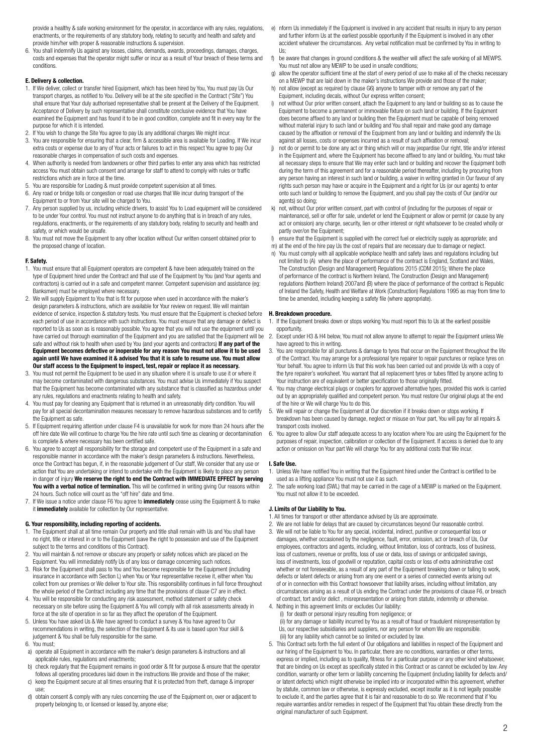provide a healthy & safe working environment for the operator, in accordance with any rules, regulations, enactments, or the requirements of any statutory body, relating to security and health and safety and provide him/her with proper & reasonable instructions & supervision.

6. You shall indemnify Us against any losses, claims, demands, awards, proceedings, damages, charges, costs and expenses that the operator might suffer or incur as a result of Your breach of these terms and conditions.

#### **E. Delivery & collection.**

- 1. If We deliver, collect or transfer hired Equipment, which has been hired by You, You must pay Us Our transport charges, as notified to You. Delivery will be at the site specified in the Contract ("Site") You shall ensure that Your duly authorised representative shall be present at the Delivery of the Equipment. Acceptance of Delivery by such representative shall constitute conclusive evidence that You have examined the Equipment and has found it to be in good condition, complete and fit in every way for the purpose for which it is intended.
- 2. If You wish to change the Site You agree to pay Us any additional charges We might incur.
- 3. You are responsible for ensuring that a clear, firm & accessible area is available for Loading. If We incur extra costs or expense due to any of Your acts or failures to act in this respect You agree to pay Our reasonable charges in compensation of such costs and expenses.
- 4. When authority is needed from landowners or other third parties to enter any area which has restricted access You must obtain such consent and arrange for staff to attend to comply with rules or traffic restrictions which are in force at the time.
- 5. You are responsible for Loading & must provide competent supervision at all times. 6. Any road or bridge tolls or congestion or road use charges that We incur during transport of the
- Equipment to or from Your site will be charged to You. 7. Any person supplied by us, including vehicle drivers, to assist You to Load equipment will be considered to be under Your control. You must not instruct anyone to do anything that is in breach of any rules, regulations, enactments, or the requirements of any statutory body, relating to security and health and safety, or which would be unsafe.
- 8. You must not move the Equipment to any other location without Our written consent obtained prior to the proposed change of location.

## **F. Safety.**

- 1. You must ensure that all Equipment operators are competent & have been adequately trained on the type of Equipment hired under the Contract and that use of the Equipment by You (and Your agents and contractors) is carried out in a safe and competent manner. Competent supervision and assistance (eg: Banksmen) must be employed where necessary.
- 2. We will supply Equipment to You that is fit for purpose when used in accordance with the maker's design parameters & instructions, which are available for Your review on request. We will maintain evidence of service, inspection & statutory tests. You must ensure that the Equipment is checked before each period of use in accordance with such instructions. You must ensure that any damage or defect is reported to Us as soon as is reasonably possible. You agree that you will not use the equipment until you have carried out thorough examination of the Equipment and you are satisfied that the Equipment will be safe and without risk to health when used by You (and your agents and contractors) **If any part of the Equipment becomes defective or inoperable for any reason You must not allow it to be used again until We have examined it & advised You that it is safe to resume use. You must allow Our staff access to the Equipment to inspect, test, repair or replace it as necessary.**
- 3. You must not permit the Equipment to be used in any situation where it is unsafe to use it or where it may become contaminated with dangerous substances. You must advise Us immediately if You suspect that the Equipment has become contaminated with any substance that is classified as hazardous under any rules, regulations and enactments relating to health and safety.
- 4. You must pay for cleaning any Equipment that is returned in an unreasonably dirty condition. You will pay for all special decontamination measures necessary to remove hazardous substances and to certify the Equipment as safe.
- 5. If Equipment requiring attention under clause F4 is unavailable for work for more than 24 hours after the off hire date We will continue to charge You the hire rate until such time as cleaning or decontamination is complete & where necessary has been certified safe.
- 6. You agree to accept all responsibility for the storage and competent use of the Equipment in a safe and responsible manner in accordance with the maker's design parameters & instructions. Nevertheless, once the Contract has begun, if, in the reasonable judgement of Our staff, We consider that any use or action that You are undertaking or intend to undertake with the Equipment is likely to place any person in danger of injury **We reserve the right to end the Contract with IMMEDIATE EFFECT by serving**  You with a verbal notice of termination. This will be confirmed in writing giving Our reasons within 24 hours. Such notice will count as the "off hire" date and time.
- 7. If We issue a notice under clause F6 You agree to **immediately** cease using the Equipment & to make it **immediately** available for collection by Our representative.

#### **G. Your responsibility, including reporting of accidents.**

- 1. The Equipment shall at all time remain Our property and title shall remain with Us and You shall have no right, title or interest in or to the Equipment (save the right to possession and use of the Equipment subject to the terms and conditions of this Contract).
- 2. You will maintain & not remove or obscure any property or safety notices which are placed on the Equipment. You will immediately notify Us of any loss or damage concerning such notices.
- 3. Risk for the Equipment shall pass to You and You become responsible for the Equipment (including insurance in accordance with Section L) when You or Your representative receive it, either when You collect from our premises or We deliver to Your site. This responsibility continues in full force throughout the whole period of the Contract including any time that the provisions of clause C7 are in effect.
- 4. You will be responsible for conducting any risk assessment, method statement or safety check necessary on site before using the Equipment & You will comply with all risk assessments already in force at the site of operation in so far as they affect the operation of the Equipment.
- 5. Unless You have asked Us & We have agreed to conduct a survey & You have agreed to Our recommendations in writing, the selection of the Equipment & its use is based upon Your skill & judgement & You shall be fully responsible for the same.

#### 6. You must;

- a) operate all Equipment in accordance with the maker's design parameters & instructions and all applicable rules, regulations and enactments;
- b) check regularly that the Equipment remains in good order & fit for purpose & ensure that the operator follows all operating procedures laid down in the instructions We provide and those of the maker;
- c) keep the Equipment secure at all times ensuring that it is protected from theft, damage & improper use;
- d) obtain consent & comply with any rules concerning the use of the Equipment on, over or adjacent to property belonging to, or licensed or leased by, anyone else;
- e) nform Us immediately if the Equipment is involved in any accident that results in injury to any person and further inform Us at the earliest possible opportunity if the Equipment is involved in any other accident whatever the circumstances. Any verbal notification must be confirmed by You in writing to  $\mathsf{L}$
- f) be aware that changes in ground conditions & the weather will affect the safe working of all MEWPS. You must not allow any MEWP to be used in unsafe conditions;
- g) allow the operator sufficient time at the start of every period of use to make all of the checks necessary on a MEWP that are laid down in the maker's instructions We provide and those of the maker;
- h) not allow (except as required by clause G6) anyone to tamper with or remove any part of the Equipment, including decals, without Our express written consent;
- i) not without Our prior written consent, attach the Equipment to any land or building so as to cause the Equipment to become a permanent or immovable fixture on such land or building. If the Equipment does become affixed to any land or building then the Equipment must be capable of being removed without material injury to such land or building and You shall repair and make good any damage caused by the affixation or removal of the Equipment from any land or building and indemnify the Us against all losses, costs or expenses incurred as a result of such affixation or removal;
- not do or permit to be done any act or thing which will or may jeopardise Our right, title and/or interest in the Equipment and, where the Equipment has become affixed to any land or building, You must take all necessary steps to ensure that We may enter such land or building and recover the Equipment both during the term of this agreement and for a reasonable period thereafter, including by procuring from any person having an interest in such land or building, a waiver in writing granted in Our favour of any rights such person may have or acquire in the Equipment and a right for Us (or our agents) to enter onto such land or building to remove the Equipment, and you shall pay the costs of Our (and/or our agents) so doing;
- k) not, without Our prior written consent, part with control of (including for the purposes of repair or maintenance), sell or offer for sale, underlet or lend the Equipment or allow or permit (or cause by any act or omission) any charge, security, lien or other interest or right whatsoever to be created wholly or partly over/on the Equipment;
- ensure that the Equipment is supplied with the correct fuel or electricity supply as appropriate; and
- m) at the end of the hire pay Us the cost of repairs that are necessary due to damage or neglect. n) You must comply with all applicable workplace health and safety laws and regulations including but not limited to (A) where the place of performance of the contract is England, Scotland and Wales, The Construction (Design and Management) Regulations 2015 (CDM 2015); Where the place of performance of the contract is Northern Ireland, The Construction (Design and Management) regulations (Northern Ireland) 2007and (B) where the place of performance of the contract is Republic of Ireland the Safety, Health and Welfare at Work (Construction) Regulations 1995 as may from time to time be amended, including keeping a safety file (where appropriate).

#### **H. Breakdown procedure.**

- If the Equipment breaks down or stops working You must report this to Us at the earliest possible opportunity.
- Except under H3 & H4 below, You must not allow anyone to attempt to repair the Equipment unless We have agreed to this in writing.
- 3. You are responsible for all punctures & damage to tyres that occur on the Equipment throughout the life of the Contract. You may arrange for a professional tyre repairer to repair punctures or replace tyres on Your behalf. You agree to inform Us that this work has been carried out and provide Us with a copy of the tyre repairer's worksheet. You warrant that all replacement tyres or tubes fitted by anyone acting to Your instruction are of equivalent or better specification to those originally fitted.
- 4. You may change electrical plugs or couplers for approved alternative types, provided this work is carried out by an appropriately qualified and competent person. You must restore Our original plugs at the end of the hire or We will charge You to do this.
- 5. We will repair or change the Equipment at Our discretion if it breaks down or stops working. If breakdown has been caused by damage, neglect or misuse on Your part, You will pay for all repairs & transport costs involved.
- 6. You agree to allow Our staff adequate access to any location where You are using the Equipment for the purposes of repair, inspection, calibration or collection of the Equipment. If access is denied due to any action or omission on Your part We will charge You for any additional costs that We incur.

#### **I. Safe Use.**

- 1. Unless We have notified You in writing that the Equipment hired under the Contract is certified to be used as a lifting appliance You must not use it as such.
- 2. The safe working load (SWL) that may be carried in the cage of a MEWP is marked on the Equipment. You must not allow it to be exceeded.

#### **J. Limits of Our Liability to You.**

- 1. All times for transport or other attendance advised by Us are approximate.
- 2. We are not liable for delays that are caused by circumstances beyond Our reasonable control. 3. We will not be liable to You for any special, incidental, indirect, punitive or consequential loss or
- damages, whether occasioned by the negligence, fault, error, omission, act or breach of Us, Our employees, contractors and agents, including, without limitation, loss of contracts, loss of business, loss of customers, revenue or profits, loss of use or data, loss of savings or anticipated savings, loss of investments, loss of goodwill or reputation, capital costs or loss of extra administrative cost whether or not foreseeable, as a result of any part of the Equipment breaking down or failing to work, defects or latent defects or arising from any one event or a series of connected events arising out of or in connection with this Contract howsoever that liability arises, including without limitation, any circumstances arising as a result of Us ending the Contract under the provisions of clause F6, or breach of contract, tort and/or delict , misrepresentation or arising from statute, indemnity or otherwise.
- 4. Nothing in this agreement limits or excludes Our liability: (i) for death or personal injury resulting from negligence; or
	- (ii) for any damage or liability incurred by You as a result of fraud or fraudulent misrepresentation by Us, our respective subsidiaries and suppliers, nor any person for whom We are responsible. (iii) for any liability which cannot be so limited or excluded by law.
- 5. This Contract sets forth the full extent of Our obligations and liabilities in respect of the Equipment and our hiring of the Equipment to You. In particular, there are no conditions, warranties or other terms, express or implied, including as to quality, fitness for a particular purpose or any other kind whatsoever, that are binding on Us except as specifically stated in this Contract or as cannot be excluded by law. Any condition, warranty or other term or liability concerning the Equipment (including liability for defects and/ or latent defects) which might otherwise be implied into or incorporated within this agreement, whether by statute, common law or otherwise, is expressly excluded, except insofar as it is not legally possible to exclude it, and the parties agree that it is fair and reasonable to do so. We recommend that if You require warranties and/or remedies in respect of the Equipment that You obtain these directly from the original manufacturer of such Equipment.